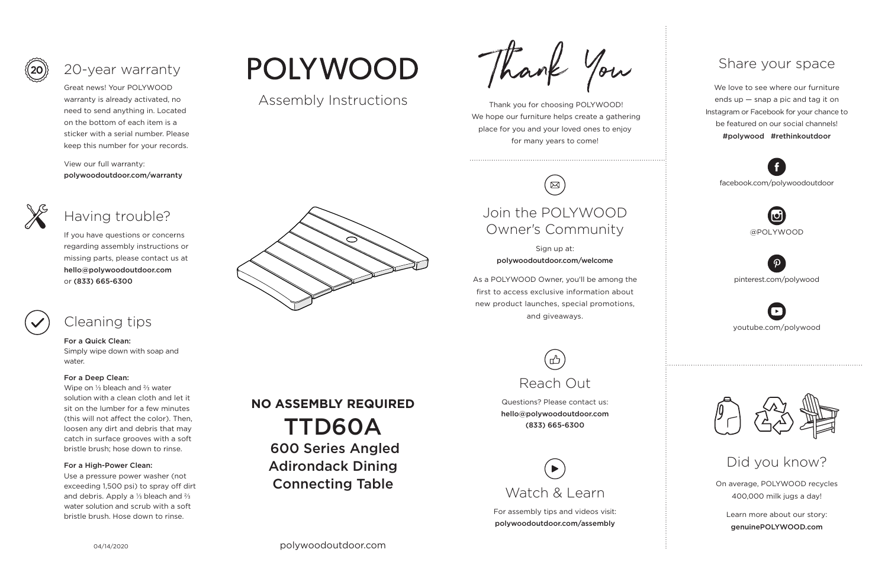Thank you for choosing POLYWOOD! We hope our furniture helps create a gathering place for you and your loved ones to enjoy for many years to come!



On average, POLYWOOD recycles 400,000 milk jugs a day!

Learn more about our story: genuinePOLYWOOD.com

We love to see where our furniture ends up — snap a pic and tag it on Instagram or Facebook for your chance to be featured on our social channels! #polywood #rethinkoutdoor



youtube.com/polywood



pinterest.com/polywood



facebook.com/polywoodoutdoor





## Share your space

Did you know?

Great news! Your POLYWOOD warranty is already activated, no need to send anything in. Located on the bottom of each item is a sticker with a serial number. Please keep this number for your records.

View our full warranty: polywoodoutdoor.com/warranty



### For a Quick Clean:

Simply wipe down with soap and water.

### For a Deep Clean:

Wipe on ⅓ bleach and ⅔ water solution with a clean cloth and let it sit on the lumber for a few minutes (this will not affect the color). Then, loosen any dirt and debris that may catch in surface grooves with a soft bristle brush; hose down to rinse.

### For a High-Power Clean:

Use a pressure power washer (not exceeding 1,500 psi) to spray off dirt and debris. Apply a ⅓ bleach and ⅔ water solution and scrub with a soft bristle brush. Hose down to rinse.

# **POLYWOOD**

If you have questions or concerns regarding assembly instructions or missing parts, please contact us at hello@polywoodoutdoor.com or (833) 665-6300



# 20-year warranty

# Having trouble?

## Cleaning tips

For assembly tips and videos visit: polywoodoutdoor.com/assembly





### Sign up at: polywoodoutdoor.com/welcome

As a POLYWOOD Owner, you'll be among the first to access exclusive information about new product launches, special promotions, and giveaways.

# Join the POLYWOOD Owner's Community

Questions? Please contact us: hello@polywoodoutdoor.com (833) 665-6300



## Assembly Instructions

Thank 4

TTD60A

600 Series Angled

Adirondack Dining

Connecting Table

**NO ASSEMBLY REQUIRED**